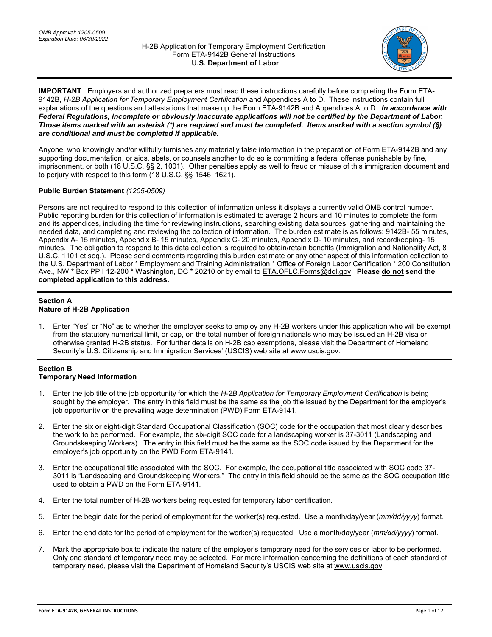

**IMPORTANT**: Employers and authorized preparers must read these instructions carefully before completing the Form ETA-9142B, *H-2B Application for Temporary Employment Certification* and Appendices A to D. These instructions contain full explanations of the questions and attestations that make up the Form ETA-9142B and Appendices A to D. *In accordance with Federal Regulations, incomplete or obviously inaccurate applications will not be certified by the Department of Labor. Those items marked with an asterisk (\*) are required and must be completed. Items marked with a section symbol (§) are conditional and must be completed if applicable.*

Anyone, who knowingly and/or willfully furnishes any materially false information in the preparation of Form ETA-9142B and any supporting documentation, or aids, abets, or counsels another to do so is committing a federal offense punishable by fine, imprisonment, or both (18 U.S.C. §§ 2, 1001). Other penalties apply as well to fraud or misuse of this immigration document and to perjury with respect to this form (18 U.S.C. §§ 1546, 1621).

## **Public Burden Statement** *(1205-0509)*

Persons are not required to respond to this collection of information unless it displays a currently valid OMB control number. Public reporting burden for this collection of information is estimated to average 2 hours and 10 minutes to complete the form and its appendices, including the time for reviewing instructions, searching existing data sources, gathering and maintaining the needed data, and completing and reviewing the collection of information. The burden estimate is as follows: 9142B- 55 minutes, Appendix A- 15 minutes, Appendix B- 15 minutes, Appendix C- 20 minutes, Appendix D- 10 minutes, and recordkeeping- 15 minutes. The obligation to respond to this data collection is required to obtain/retain benefits (Immigration and Nationality Act, 8 U.S.C. 1101 et seq.). Please send comments regarding this burden estimate or any other aspect of this information collection to the U.S. Department of Labor \* Employment and Training Administration \* Office of Foreign Labor Certification \* 200 Constitution Ave., NW \* Box PPII 12-200 \* Washington, DC \* 20210 or by email t[o ETA.OFLC.Forms@dol.gov.](mailto:ETA.OFLC.Forms@dol.gov) **Please do not send the completed application to this address.**

## **Section A Nature of H-2B Application**

1. Enter "Yes" or "No" as to whether the employer seeks to employ any H-2B workers under this application who will be exempt from the statutory numerical limit, or cap, on the total number of foreign nationals who may be issued an H-2B visa or otherwise granted H-2B status. For further details on H-2B cap exemptions, please visit the Department of Homeland Security's U.S. Citizenship and Immigration Services' (USCIS) web site a[t www.uscis.gov.](http://www.uscis.gov/)

## **Section B Temporary Need Information**

- 1. Enter the job title of the job opportunity for which the *H-2B Application for Temporary Employment Certification* is being sought by the employer. The entry in this field must be the same as the job title issued by the Department for the employer's job opportunity on the prevailing wage determination (PWD) Form ETA-9141.
- 2. Enter the six or eight-digit Standard Occupational Classification (SOC) code for the occupation that most clearly describes the work to be performed. For example, the six-digit SOC code for a landscaping worker is 37-3011 (Landscaping and Groundskeeping Workers). The entry in this field must be the same as the SOC code issued by the Department for the employer's job opportunity on the PWD Form ETA-9141.
- 3. Enter the occupational title associated with the SOC. For example, the occupational title associated with SOC code 37- 3011 is "Landscaping and Groundskeeping Workers." The entry in this field should be the same as the SOC occupation title used to obtain a PWD on the Form ETA-9141.
- 4. Enter the total number of H-2B workers being requested for temporary labor certification.
- 5. Enter the begin date for the period of employment for the worker(s) requested. Use a month/day/year (*mm/dd/yyyy*) format.
- 6. Enter the end date for the period of employment for the worker(s) requested. Use a month/day/year (*mm/dd/yyyy*) format.
- 7. Mark the appropriate box to indicate the nature of the employer's temporary need for the services or labor to be performed. Only one standard of temporary need may be selected. For more information concerning the definitions of each standard of temporary need, please visit the Department of Homeland Security's USCIS web site at [www.uscis.gov.](http://www.uscis.gov/)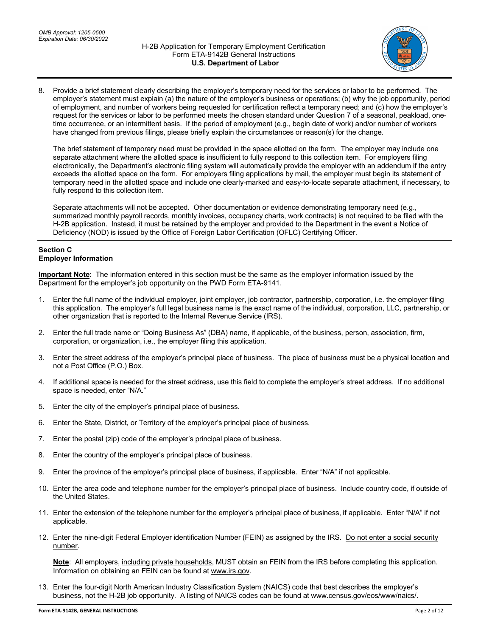

8. Provide a brief statement clearly describing the employer's temporary need for the services or labor to be performed. The employer's statement must explain (a) the nature of the employer's business or operations; (b) why the job opportunity, period of employment, and number of workers being requested for certification reflect a temporary need; and (c) how the employer's request for the services or labor to be performed meets the chosen standard under Question 7 of a seasonal, peakload, onetime occurrence, or an intermittent basis. If the period of employment (e.g., begin date of work) and/or number of workers have changed from previous filings, please briefly explain the circumstances or reason(s) for the change.

The brief statement of temporary need must be provided in the space allotted on the form. The employer may include one separate attachment where the allotted space is insufficient to fully respond to this collection item. For employers filing electronically, the Department's electronic filing system will automatically provide the employer with an addendum if the entry exceeds the allotted space on the form. For employers filing applications by mail, the employer must begin its statement of temporary need in the allotted space and include one clearly-marked and easy-to-locate separate attachment, if necessary, to fully respond to this collection item.

Separate attachments will not be accepted. Other documentation or evidence demonstrating temporary need (e.g., summarized monthly payroll records, monthly invoices, occupancy charts, work contracts) is not required to be filed with the H-2B application. Instead, it must be retained by the employer and provided to the Department in the event a Notice of Deficiency (NOD) is issued by the Office of Foreign Labor Certification (OFLC) Certifying Officer.

## **Section C Employer Information**

**Important Note**: The information entered in this section must be the same as the employer information issued by the Department for the employer's job opportunity on the PWD Form ETA-9141.

- 1. Enter the full name of the individual employer, joint employer, job contractor, partnership, corporation, i.e. the employer filing this application. The employer's full legal business name is the exact name of the individual, corporation, LLC, partnership, or other organization that is reported to the Internal Revenue Service (IRS).
- 2. Enter the full trade name or "Doing Business As" (DBA) name, if applicable, of the business, person, association, firm, corporation, or organization, i.e., the employer filing this application.
- 3. Enter the street address of the employer's principal place of business. The place of business must be a physical location and not a Post Office (P.O.) Box.
- 4. If additional space is needed for the street address, use this field to complete the employer's street address. If no additional space is needed, enter "N/A."
- 5. Enter the city of the employer's principal place of business.
- 6. Enter the State, District, or Territory of the employer's principal place of business.
- 7. Enter the postal (zip) code of the employer's principal place of business.
- 8. Enter the country of the employer's principal place of business.
- 9. Enter the province of the employer's principal place of business, if applicable. Enter "N/A" if not applicable.
- 10. Enter the area code and telephone number for the employer's principal place of business. Include country code, if outside of the United States.
- 11. Enter the extension of the telephone number for the employer's principal place of business, if applicable. Enter "N/A" if not applicable.
- 12. Enter the nine-digit Federal Employer identification Number (FEIN) as assigned by the IRS. Do not enter a social security number.

**Note**: All employers, including private households, MUST obtain an FEIN from the IRS before completing this application. Information on obtaining an FEIN can be found a[t www.irs.gov.](http://www.irs.gov/)

13. Enter the four-digit North American Industry Classification System (NAICS) code that best describes the employer's business, not the H-2B job opportunity. A listing of NAICS codes can be found at [www.census.gov/eos/www/naics/.](http://www.census.gov/eos/www/naics/)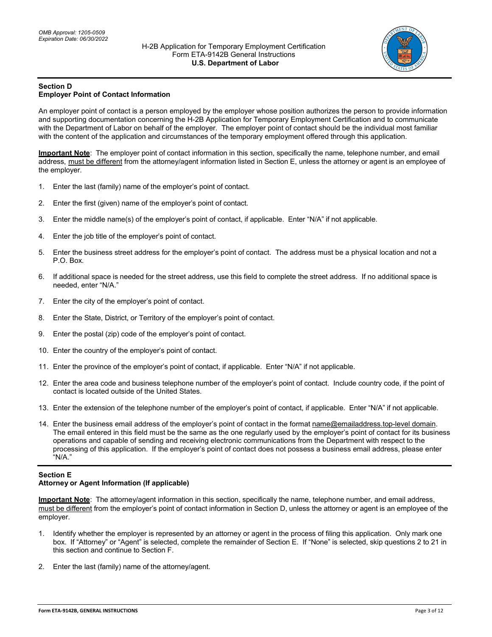

#### **Section D Employer Point of Contact Information**

An employer point of contact is a person employed by the employer whose position authorizes the person to provide information and supporting documentation concerning the H-2B Application for Temporary Employment Certification and to communicate with the Department of Labor on behalf of the employer. The employer point of contact should be the individual most familiar with the content of the application and circumstances of the temporary employment offered through this application.

**Important Note**: The employer point of contact information in this section, specifically the name, telephone number, and email address, must be different from the attorney/agent information listed in Section E, unless the attorney or agent is an employee of the employer.

- 1. Enter the last (family) name of the employer's point of contact.
- 2. Enter the first (given) name of the employer's point of contact.
- 3. Enter the middle name(s) of the employer's point of contact, if applicable. Enter "N/A" if not applicable.
- 4. Enter the job title of the employer's point of contact.
- 5. Enter the business street address for the employer's point of contact. The address must be a physical location and not a P.O. Box.
- 6. If additional space is needed for the street address, use this field to complete the street address. If no additional space is needed, enter "N/A."
- 7. Enter the city of the employer's point of contact.
- 8. Enter the State, District, or Territory of the employer's point of contact.
- 9. Enter the postal (zip) code of the employer's point of contact.
- 10. Enter the country of the employer's point of contact.
- 11. Enter the province of the employer's point of contact, if applicable. Enter "N/A" if not applicable.
- 12. Enter the area code and business telephone number of the employer's point of contact. Include country code, if the point of contact is located outside of the United States.
- 13. Enter the extension of the telephone number of the employer's point of contact, if applicable. Enter "N/A" if not applicable.
- 14. Enter the business email address of the employer's point of contact in the format name@emailaddress.top-level domain. The email entered in this field must be the same as the one regularly used by the employer's point of contact for its business operations and capable of sending and receiving electronic communications from the Department with respect to the processing of this application. If the employer's point of contact does not possess a business email address, please enter "N/A."

## **Section E Attorney or Agent Information (If applicable)**

**Important Note**: The attorney/agent information in this section, specifically the name, telephone number, and email address, must be different from the employer's point of contact information in Section D, unless the attorney or agent is an employee of the employer.

- 1. Identify whether the employer is represented by an attorney or agent in the process of filing this application. Only mark one box. If "Attorney" or "Agent" is selected, complete the remainder of Section E. If "None" is selected, skip questions 2 to 21 in this section and continue to Section F.
- 2. Enter the last (family) name of the attorney/agent.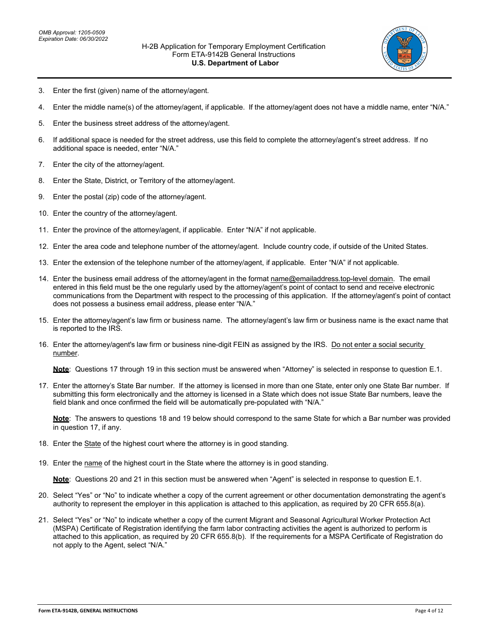

- 3. Enter the first (given) name of the attorney/agent.
- 4. Enter the middle name(s) of the attorney/agent, if applicable. If the attorney/agent does not have a middle name, enter "N/A."
- 5. Enter the business street address of the attorney/agent.
- 6. If additional space is needed for the street address, use this field to complete the attorney/agent's street address. If no additional space is needed, enter "N/A."
- 7. Enter the city of the attorney/agent.
- 8. Enter the State, District, or Territory of the attorney/agent.
- 9. Enter the postal (zip) code of the attorney/agent.
- 10. Enter the country of the attorney/agent.
- 11. Enter the province of the attorney/agent, if applicable. Enter "N/A" if not applicable.
- 12. Enter the area code and telephone number of the attorney/agent. Include country code, if outside of the United States.
- 13. Enter the extension of the telephone number of the attorney/agent, if applicable. Enter "N/A" if not applicable.
- 14. Enter the business email address of the attorney/agent in the format name@emailaddress.top-level domain. The email entered in this field must be the one regularly used by the attorney/agent's point of contact to send and receive electronic communications from the Department with respect to the processing of this application. If the attorney/agent's point of contact does not possess a business email address, please enter "N/A."
- 15. Enter the attorney/agent's law firm or business name. The attorney/agent's law firm or business name is the exact name that is reported to the IRS.
- 16. Enter the attorney/agent's law firm or business nine-digit FEIN as assigned by the IRS. Do not enter a social security number.

**Note**: Questions 17 through 19 in this section must be answered when "Attorney" is selected in response to question E.1.

17. Enter the attorney's State Bar number. If the attorney is licensed in more than one State, enter only one State Bar number. If submitting this form electronically and the attorney is licensed in a State which does not issue State Bar numbers, leave the field blank and once confirmed the field will be automatically pre-populated with "N/A."

**Note**: The answers to questions 18 and 19 below should correspond to the same State for which a Bar number was provided in question 17, if any.

- 18. Enter the State of the highest court where the attorney is in good standing.
- 19. Enter the name of the highest court in the State where the attorney is in good standing.

**Note**: Questions 20 and 21 in this section must be answered when "Agent" is selected in response to question E.1.

- 20. Select "Yes" or "No" to indicate whether a copy of the current agreement or other documentation demonstrating the agent's authority to represent the employer in this application is attached to this application, as required by 20 CFR 655.8(a).
- 21. Select "Yes" or "No" to indicate whether a copy of the current Migrant and Seasonal Agricultural Worker Protection Act (MSPA) Certificate of Registration identifying the farm labor contracting activities the agent is authorized to perform is attached to this application, as required by 20 CFR 655.8(b). If the requirements for a MSPA Certificate of Registration do not apply to the Agent, select "N/A."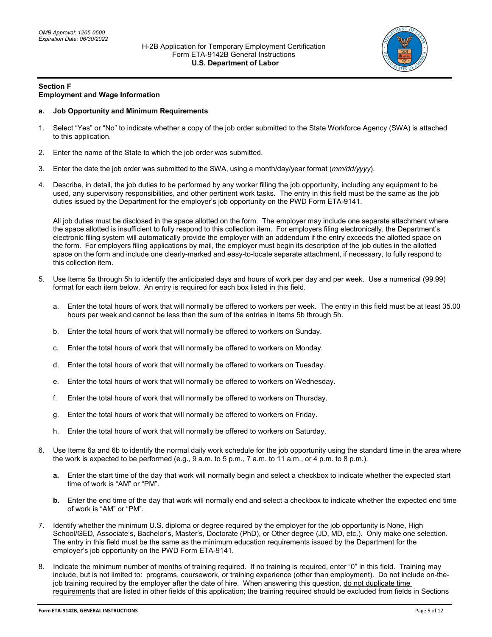

#### **Section F Employment and Wage Information**

## **a. Job Opportunity and Minimum Requirements**

- 1. Select "Yes" or "No" to indicate whether a copy of the job order submitted to the State Workforce Agency (SWA) is attached to this application.
- 2. Enter the name of the State to which the job order was submitted.
- 3. Enter the date the job order was submitted to the SWA, using a month/day/year format (*mm/dd/yyyy*).
- 4. Describe, in detail, the job duties to be performed by any worker filling the job opportunity, including any equipment to be used, any supervisory responsibilities, and other pertinent work tasks. The entry in this field must be the same as the job duties issued by the Department for the employer's job opportunity on the PWD Form ETA-9141.

All job duties must be disclosed in the space allotted on the form. The employer may include one separate attachment where the space allotted is insufficient to fully respond to this collection item. For employers filing electronically, the Department's electronic filing system will automatically provide the employer with an addendum if the entry exceeds the allotted space on the form. For employers filing applications by mail, the employer must begin its description of the job duties in the allotted space on the form and include one clearly-marked and easy-to-locate separate attachment, if necessary, to fully respond to this collection item.

- 5. Use Items 5a through 5h to identify the anticipated days and hours of work per day and per week. Use a numerical (99.99) format for each item below. An entry is required for each box listed in this field.
	- a. Enter the total hours of work that will normally be offered to workers per week. The entry in this field must be at least 35.00 hours per week and cannot be less than the sum of the entries in Items 5b through 5h.
	- b. Enter the total hours of work that will normally be offered to workers on Sunday.
	- c. Enter the total hours of work that will normally be offered to workers on Monday.
	- d. Enter the total hours of work that will normally be offered to workers on Tuesday.
	- e. Enter the total hours of work that will normally be offered to workers on Wednesday.
	- f. Enter the total hours of work that will normally be offered to workers on Thursday.
	- g. Enter the total hours of work that will normally be offered to workers on Friday.
	- h. Enter the total hours of work that will normally be offered to workers on Saturday.
- 6. Use Items 6a and 6b to identify the normal daily work schedule for the job opportunity using the standard time in the area where the work is expected to be performed (e.g., 9 a.m. to 5 p.m., 7 a.m. to 11 a.m., or 4 p.m. to 8 p.m.).
	- **a.** Enter the start time of the day that work will normally begin and select a checkbox to indicate whether the expected start time of work is "AM" or "PM".
	- **b.** Enter the end time of the day that work will normally end and select a checkbox to indicate whether the expected end time of work is "AM" or "PM".
- 7. Identify whether the minimum U.S. diploma or degree required by the employer for the job opportunity is None, High School/GED, Associate's, Bachelor's, Master's, Doctorate (PhD), or Other degree (JD, MD, etc.). Only make one selection. The entry in this field must be the same as the minimum education requirements issued by the Department for the employer's job opportunity on the PWD Form ETA-9141.
- Indicate the minimum number of months of training required. If no training is required, enter "0" in this field. Training may include, but is not limited to: programs, coursework, or training experience (other than employment). Do not include on-thejob training required by the employer after the date of hire. When answering this question, do not duplicate time requirements that are listed in other fields of this application; the training required should be excluded from fields in Sections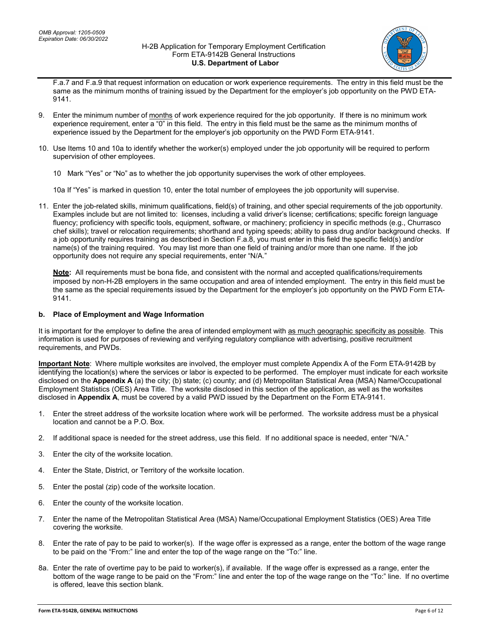

F.a.7 and F.a.9 that request information on education or work experience requirements. The entry in this field must be the same as the minimum months of training issued by the Department for the employer's job opportunity on the PWD ETA-9141.

- 9. Enter the minimum number of months of work experience required for the job opportunity. If there is no minimum work experience requirement, enter a "0" in this field. The entry in this field must be the same as the minimum months of experience issued by the Department for the employer's job opportunity on the PWD Form ETA-9141.
- 10. Use Items 10 and 10a to identify whether the worker(s) employed under the job opportunity will be required to perform supervision of other employees.

10 Mark "Yes" or "No" as to whether the job opportunity supervises the work of other employees.

10a If "Yes" is marked in question 10, enter the total number of employees the job opportunity will supervise.

11. Enter the job-related skills, minimum qualifications, field(s) of training, and other special requirements of the job opportunity. Examples include but are not limited to: licenses, including a valid driver's license; certifications; specific foreign language fluency; proficiency with specific tools, equipment, software, or machinery; proficiency in specific methods (e.g., Churrasco chef skills); travel or relocation requirements; shorthand and typing speeds; ability to pass drug and/or background checks. If a job opportunity requires training as described in Section F.a.8, you must enter in this field the specific field(s) and/or name(s) of the training required. You may list more than one field of training and/or more than one name. If the job opportunity does not require any special requirements, enter "N/A."

**Note:** All requirements must be bona fide, and consistent with the normal and accepted qualifications/requirements imposed by non-H-2B employers in the same occupation and area of intended employment. The entry in this field must be the same as the special requirements issued by the Department for the employer's job opportunity on the PWD Form ETA-9141.

## **b. Place of Employment and Wage Information**

It is important for the employer to define the area of intended employment with as much geographic specificity as possible. This information is used for purposes of reviewing and verifying regulatory compliance with advertising, positive recruitment requirements, and PWDs.

**Important Note**: Where multiple worksites are involved, the employer must complete Appendix A of the Form ETA-9142B by identifying the location(s) where the services or labor is expected to be performed. The employer must indicate for each worksite disclosed on the **Appendix A** (a) the city; (b) state; (c) county; and (d) Metropolitan Statistical Area (MSA) Name/Occupational Employment Statistics (OES) Area Title. The worksite disclosed in this section of the application, as well as the worksites disclosed in **Appendix A**, must be covered by a valid PWD issued by the Department on the Form ETA-9141.

- 1. Enter the street address of the worksite location where work will be performed. The worksite address must be a physical location and cannot be a P.O. Box.
- 2. If additional space is needed for the street address, use this field. If no additional space is needed, enter "N/A."
- 3. Enter the city of the worksite location.
- 4. Enter the State, District, or Territory of the worksite location.
- 5. Enter the postal (zip) code of the worksite location.
- 6. Enter the county of the worksite location.
- 7. Enter the name of the Metropolitan Statistical Area (MSA) Name/Occupational Employment Statistics (OES) Area Title covering the worksite.
- 8. Enter the rate of pay to be paid to worker(s). If the wage offer is expressed as a range, enter the bottom of the wage range to be paid on the "From:" line and enter the top of the wage range on the "To:" line.
- 8a. Enter the rate of overtime pay to be paid to worker(s), if available. If the wage offer is expressed as a range, enter the bottom of the wage range to be paid on the "From:" line and enter the top of the wage range on the "To:" line. If no overtime is offered, leave this section blank.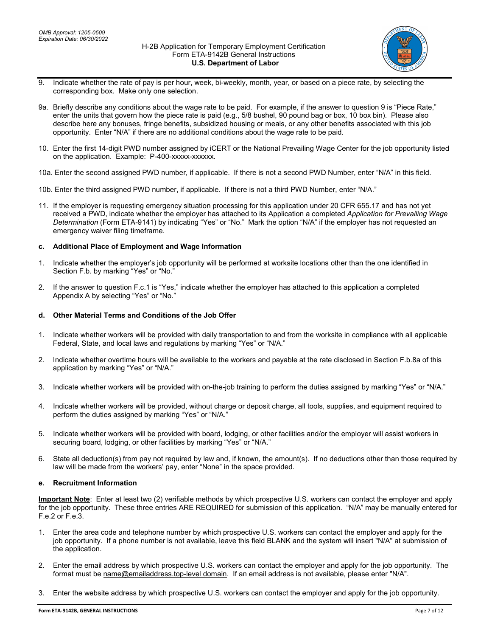

- 9. Indicate whether the rate of pay is per hour, week, bi-weekly, month, year, or based on a piece rate, by selecting the corresponding box. Make only one selection.
- 9a. Briefly describe any conditions about the wage rate to be paid. For example, if the answer to question 9 is "Piece Rate," enter the units that govern how the piece rate is paid (e.g., 5/8 bushel, 90 pound bag or box, 10 box bin). Please also describe here any bonuses, fringe benefits, subsidized housing or meals, or any other benefits associated with this job opportunity. Enter "N/A" if there are no additional conditions about the wage rate to be paid.
- 10. Enter the first 14-digit PWD number assigned by iCERT or the National Prevailing Wage Center for the job opportunity listed on the application. Example: P-400-xxxxx-xxxxxx.
- 10a. Enter the second assigned PWD number, if applicable. If there is not a second PWD Number, enter "N/A" in this field.
- 10b. Enter the third assigned PWD number, if applicable. If there is not a third PWD Number, enter "N/A."
- 11. If the employer is requesting emergency situation processing for this application under 20 CFR 655.17 and has not yet received a PWD, indicate whether the employer has attached to its Application a completed *Application for Prevailing Wage Determination* (Form ETA-9141) by indicating "Yes" or "No." Mark the option "N/A" if the employer has not requested an emergency waiver filing timeframe.

## **c. Additional Place of Employment and Wage Information**

- 1. Indicate whether the employer's job opportunity will be performed at worksite locations other than the one identified in Section F.b. by marking "Yes" or "No."
- 2. If the answer to question F.c.1 is "Yes," indicate whether the employer has attached to this application a completed Appendix A by selecting "Yes" or "No."

## **d. Other Material Terms and Conditions of the Job Offer**

- 1. Indicate whether workers will be provided with daily transportation to and from the worksite in compliance with all applicable Federal, State, and local laws and regulations by marking "Yes" or "N/A."
- 2. Indicate whether overtime hours will be available to the workers and payable at the rate disclosed in Section F.b.8a of this application by marking "Yes" or "N/A."
- 3. Indicate whether workers will be provided with on-the-job training to perform the duties assigned by marking "Yes" or "N/A."
- 4. Indicate whether workers will be provided, without charge or deposit charge, all tools, supplies, and equipment required to perform the duties assigned by marking "Yes" or "N/A."
- 5. Indicate whether workers will be provided with board, lodging, or other facilities and/or the employer will assist workers in securing board, lodging, or other facilities by marking "Yes" or "N/A."
- 6. State all deduction(s) from pay not required by law and, if known, the amount(s). If no deductions other than those required by law will be made from the workers' pay, enter "None" in the space provided.

## **e. Recruitment Information**

**Important Note**: Enter at least two (2) verifiable methods by which prospective U.S. workers can contact the employer and apply for the job opportunity. These three entries ARE REQUIRED for submission of this application. "N/A" may be manually entered for F.e.2 or F.e.3.

- 1. Enter the area code and telephone number by which prospective U.S. workers can contact the employer and apply for the job opportunity. If a phone number is not available, leave this field BLANK and the system will insert "N/A" at submission of the application.
- 2. Enter the email address by which prospective U.S. workers can contact the employer and apply for the job opportunity. The format must be name@emailaddress.top-level domain. If an email address is not available, please enter "N/A".
- 3. Enter the website address by which prospective U.S. workers can contact the employer and apply for the job opportunity.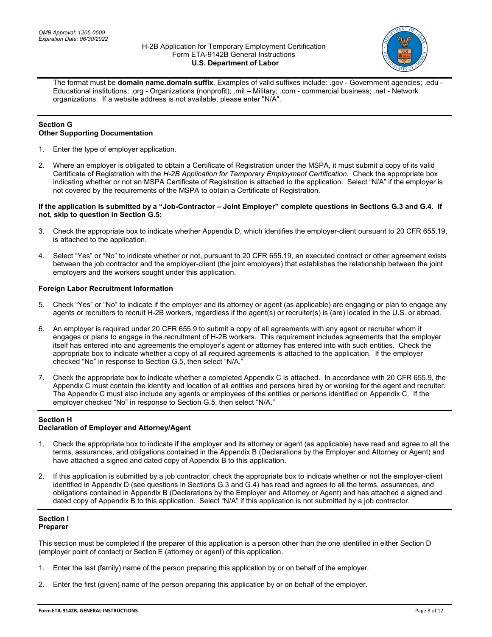

The format must be **domain name.domain suffix**. Examples of valid suffixes include: .gov - Government agencies; .edu - Educational institutions; .org - Organizations (nonprofit); .mil – Military; .com - commercial business; .net - Network organizations. If a website address is not available, please enter "N/A".

## **Section G Other Supporting Documentation**

- 1. Enter the type of employer application.
- 2. Where an employer is obligated to obtain a Certificate of Registration under the MSPA, it must submit a copy of its valid Certificate of Registration with the *H-2B Application for Temporary Employment Certification*. Check the appropriate box indicating whether or not an MSPA Certificate of Registration is attached to the application. Select "N/A" if the employer is not covered by the requirements of the MSPA to obtain a Certificate of Registration.

### **If the application is submitted by a "Job-Contractor – Joint Employer" complete questions in Sections G.3 and G.4. If not, skip to question in Section G.5:**

- 3. Check the appropriate box to indicate whether Appendix D, which identifies the employer-client pursuant to 20 CFR 655.19, is attached to the application.
- 4. Select "Yes" or "No" to indicate whether or not, pursuant to 20 CFR 655.19, an executed contract or other agreement exists between the job contractor and the employer-client (the joint employers) that establishes the relationship between the joint employers and the workers sought under this application.

## **Foreign Labor Recruitment Information**

- 5. Check "Yes" or "No" to indicate if the employer and its attorney or agent (as applicable) are engaging or plan to engage any agents or recruiters to recruit H-2B workers, regardless if the agent(s) or recruiter(s) is (are) located in the U.S. or abroad.
- 6. An employer is required under 20 CFR 655.9 to submit a copy of all agreements with any agent or recruiter whom it engages or plans to engage in the recruitment of H-2B workers. This requirement includes agreements that the employer itself has entered into and agreements the employer's agent or attorney has entered into with such entities. Check the appropriate box to indicate whether a copy of all required agreements is attached to the application. If the employer checked "No" in response to Section G.5, then select "N/A."
- 7. Check the appropriate box to indicate whether a completed Appendix C is attached. In accordance with 20 CFR 655.9, the Appendix C must contain the identity and location of all entities and persons hired by or working for the agent and recruiter. The Appendix C must also include any agents or employees of the entities or persons identified on Appendix C. If the employer checked "No" in response to Section G.5, then select "N/A."

# **Section H**

## **Declaration of Employer and Attorney/Agent**

- 1. Check the appropriate box to indicate if the employer and its attorney or agent (as applicable) have read and agree to all the terms, assurances, and obligations contained in the Appendix B (Declarations by the Employer and Attorney or Agent) and have attached a signed and dated copy of Appendix B to this application.
- 2. If this application is submitted by a job contractor, check the appropriate box to indicate whether or not the employer-client identified in Appendix D (see questions in Sections G.3 and G.4) has read and agrees to all the terms, assurances, and obligations contained in Appendix B (Declarations by the Employer and Attorney or Agent) and has attached a signed and dated copy of Appendix B to this application. Select "N/A" if this application is not submitted by a job contractor.

#### **Section I Preparer**

This section must be completed if the preparer of this application is a person other than the one identified in either Section D (employer point of contact) or Section E (attorney or agent) of this application.

- 1. Enter the last (family) name of the person preparing this application by or on behalf of the employer.
- 2. Enter the first (given) name of the person preparing this application by or on behalf of the employer.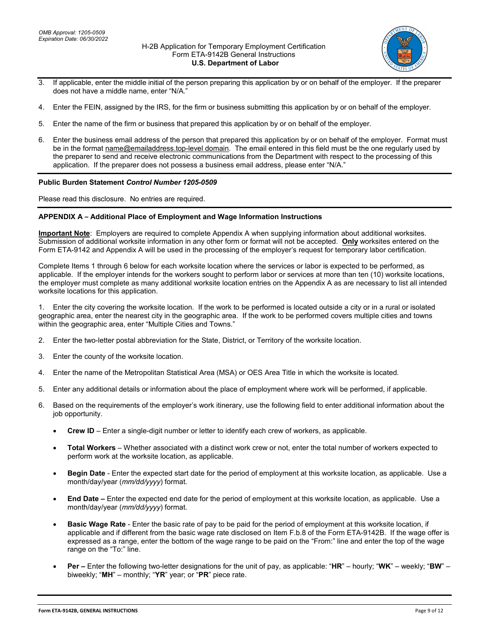

- 3. If applicable, enter the middle initial of the person preparing this application by or on behalf of the employer. If the preparer does not have a middle name, enter "N/A."
- 4. Enter the FEIN, assigned by the IRS, for the firm or business submitting this application by or on behalf of the employer.
- 5. Enter the name of the firm or business that prepared this application by or on behalf of the employer.
- 6. Enter the business email address of the person that prepared this application by or on behalf of the employer. Format must be in the format name@emailaddress.top-level domain. The email entered in this field must be the one regularly used by the preparer to send and receive electronic communications from the Department with respect to the processing of this application. If the preparer does not possess a business email address, please enter "N/A."

#### **Public Burden Statement** *Control Number 1205-0509*

Please read this disclosure. No entries are required.

### **APPENDIX A – Additional Place of Employment and Wage Information Instructions**

**Important Note**: Employers are required to complete Appendix A when supplying information about additional worksites. Submission of additional worksite information in any other form or format will not be accepted. **Only** worksites entered on the Form ETA-9142 and Appendix A will be used in the processing of the employer's request for temporary labor certification.

Complete Items 1 through 6 below for each worksite location where the services or labor is expected to be performed, as applicable. If the employer intends for the workers sought to perform labor or services at more than ten (10) worksite locations, the employer must complete as many additional worksite location entries on the Appendix A as are necessary to list all intended worksite locations for this application.

1. Enter the city covering the worksite location. If the work to be performed is located outside a city or in a rural or isolated geographic area, enter the nearest city in the geographic area. If the work to be performed covers multiple cities and towns within the geographic area, enter "Multiple Cities and Towns."

- 2. Enter the two-letter postal abbreviation for the State, District, or Territory of the worksite location.
- 3. Enter the county of the worksite location.
- 4. Enter the name of the Metropolitan Statistical Area (MSA) or OES Area Title in which the worksite is located.
- 5. Enter any additional details or information about the place of employment where work will be performed, if applicable.
- 6. Based on the requirements of the employer's work itinerary, use the following field to enter additional information about the job opportunity.
	- **Crew ID** Enter a single-digit number or letter to identify each crew of workers, as applicable.
	- **Total Workers** Whether associated with a distinct work crew or not, enter the total number of workers expected to perform work at the worksite location, as applicable.
	- **Begin Date** Enter the expected start date for the period of employment at this worksite location, as applicable. Use a month/day/year (*mm/dd/yyyy*) format.
	- **End Date –** Enter the expected end date for the period of employment at this worksite location, as applicable. Use a month/day/year (*mm/dd/yyyy*) format.
	- **Basic Wage Rate** Enter the basic rate of pay to be paid for the period of employment at this worksite location, if applicable and if different from the basic wage rate disclosed on Item F.b.8 of the Form ETA-9142B. If the wage offer is expressed as a range, enter the bottom of the wage range to be paid on the "From:" line and enter the top of the wage range on the "To:" line.
	- **Per –** Enter the following two-letter designations for the unit of pay, as applicable: "**HR**" hourly; "**WK**" weekly; "**BW**" biweekly; "**MH**" – monthly; "**YR**" year; or "**PR**" piece rate.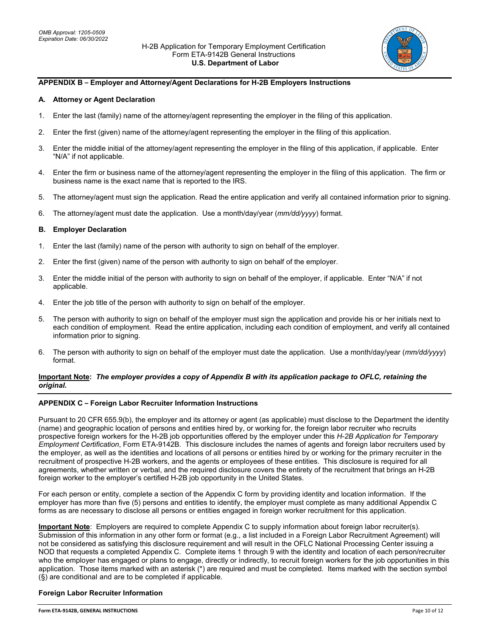

## **APPENDIX B – Employer and Attorney/Agent Declarations for H-2B Employers Instructions**

### **A. Attorney or Agent Declaration**

- 1. Enter the last (family) name of the attorney/agent representing the employer in the filing of this application.
- 2. Enter the first (given) name of the attorney/agent representing the employer in the filing of this application.
- 3. Enter the middle initial of the attorney/agent representing the employer in the filing of this application, if applicable. Enter "N/A" if not applicable.
- 4. Enter the firm or business name of the attorney/agent representing the employer in the filing of this application. The firm or business name is the exact name that is reported to the IRS.
- 5. The attorney/agent must sign the application. Read the entire application and verify all contained information prior to signing.
- 6. The attorney/agent must date the application. Use a month/day/year (*mm/dd/yyyy*) format.

### **B. Employer Declaration**

- 1. Enter the last (family) name of the person with authority to sign on behalf of the employer.
- 2. Enter the first (given) name of the person with authority to sign on behalf of the employer.
- 3. Enter the middle initial of the person with authority to sign on behalf of the employer, if applicable. Enter "N/A" if not applicable.
- 4. Enter the job title of the person with authority to sign on behalf of the employer.
- 5. The person with authority to sign on behalf of the employer must sign the application and provide his or her initials next to each condition of employment. Read the entire application, including each condition of employment, and verify all contained information prior to signing.
- 6. The person with authority to sign on behalf of the employer must date the application. Use a month/day/year (*mm/dd/yyyy*) format.

## **Important Note:** *The employer provides a copy of Appendix B with its application package to OFLC, retaining the original.*

#### **APPENDIX C – Foreign Labor Recruiter Information Instructions**

Pursuant to 20 CFR 655.9(b), the employer and its attorney or agent (as applicable) must disclose to the Department the identity (name) and geographic location of persons and entities hired by, or working for, the foreign labor recruiter who recruits prospective foreign workers for the H-2B job opportunities offered by the employer under this *H-2B Application for Temporary Employment Certification*, Form ETA-9142B. This disclosure includes the names of agents and foreign labor recruiters used by the employer, as well as the identities and locations of all persons or entities hired by or working for the primary recruiter in the recruitment of prospective H-2B workers, and the agents or employees of these entities. This disclosure is required for all agreements, whether written or verbal, and the required disclosure covers the entirety of the recruitment that brings an H-2B foreign worker to the employer's certified H-2B job opportunity in the United States.

For each person or entity, complete a section of the Appendix C form by providing identity and location information. If the employer has more than five (5) persons and entities to identify, the employer must complete as many additional Appendix C forms as are necessary to disclose all persons or entities engaged in foreign worker recruitment for this application.

**Important Note**: Employers are required to complete Appendix C to supply information about foreign labor recruiter(s). Submission of this information in any other form or format (e.g., a list included in a Foreign Labor Recruitment Agreement) will not be considered as satisfying this disclosure requirement and will result in the OFLC National Processing Center issuing a NOD that requests a completed Appendix C.Complete items 1 through 9 with the identity and location of each person/recruiter who the employer has engaged or plans to engage, directly or indirectly, to recruit foreign workers for the job opportunities in this application. Those items marked with an asterisk (\*) are required and must be completed. Items marked with the section symbol (§) are conditional and are to be completed if applicable.

## **Foreign Labor Recruiter Information**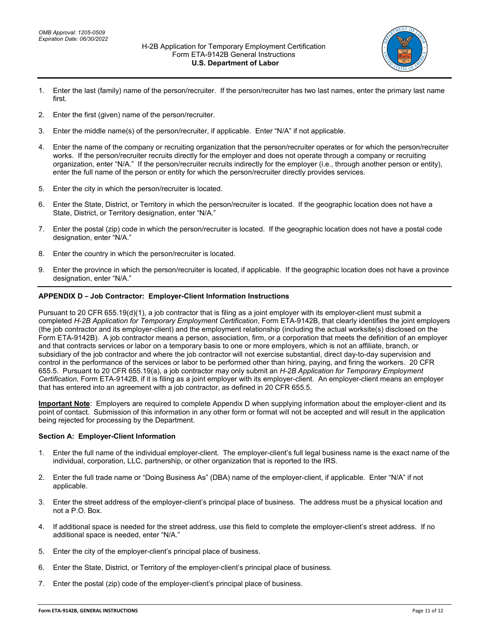

- 1. Enter the last (family) name of the person/recruiter. If the person/recruiter has two last names, enter the primary last name first.
- 2. Enter the first (given) name of the person/recruiter.
- 3. Enter the middle name(s) of the person/recruiter, if applicable. Enter "N/A" if not applicable.
- 4. Enter the name of the company or recruiting organization that the person/recruiter operates or for which the person/recruiter works. If the person/recruiter recruits directly for the employer and does not operate through a company or recruiting organization, enter "N/A." If the person/recruiter recruits indirectly for the employer (i.e., through another person or entity), enter the full name of the person or entity for which the person/recruiter directly provides services.
- 5. Enter the city in which the person/recruiter is located.
- 6. Enter the State, District, or Territory in which the person/recruiter is located. If the geographic location does not have a State, District, or Territory designation, enter "N/A."
- 7. Enter the postal (zip) code in which the person/recruiter is located. If the geographic location does not have a postal code designation, enter "N/A."
- 8. Enter the country in which the person/recruiter is located.
- 9. Enter the province in which the person/recruiter is located, if applicable. If the geographic location does not have a province designation, enter "N/A."

## **APPENDIX D – Job Contractor: Employer-Client Information Instructions**

Pursuant to 20 CFR 655.19(d)(1), a job contractor that is filing as a joint employer with its employer-client must submit a completed *H-2B Application for Temporary Employment Certification*, Form ETA-9142B, that clearly identifies the joint employers (the job contractor and its employer-client) and the employment relationship (including the actual worksite(s) disclosed on the Form ETA-9142B). A job contractor means a person, association, firm, or a corporation that meets the definition of an employer and that contracts services or labor on a temporary basis to one or more employers, which is not an affiliate, branch, or subsidiary of the job contractor and where the job contractor will not exercise substantial, direct day-to-day supervision and control in the performance of the services or labor to be performed other than hiring, paying, and firing the workers. 20 CFR 655.5. Pursuant to 20 CFR 655.19(a), a job contractor may only submit an *H-2B Application for Temporary Employment Certification*, Form ETA-9142B, if it is filing as a joint employer with its employer-client. An employer-client means an employer that has entered into an agreement with a job contractor, as defined in 20 CFR 655.5.

**Important Note**: Employers are required to complete Appendix D when supplying information about the employer-client and its point of contact. Submission of this information in any other form or format will not be accepted and will result in the application being rejected for processing by the Department.

## **Section A: Employer-Client Information**

- 1. Enter the full name of the individual employer-client. The employer-client's full legal business name is the exact name of the individual, corporation, LLC, partnership, or other organization that is reported to the IRS.
- 2. Enter the full trade name or "Doing Business As" (DBA) name of the employer-client, if applicable. Enter "N/A" if not applicable.
- 3. Enter the street address of the employer-client's principal place of business. The address must be a physical location and not a P.O. Box.
- 4. If additional space is needed for the street address, use this field to complete the employer-client's street address. If no additional space is needed, enter "N/A."
- 5. Enter the city of the employer-client's principal place of business.
- 6. Enter the State, District, or Territory of the employer-client's principal place of business.
- 7. Enter the postal (zip) code of the employer-client's principal place of business.